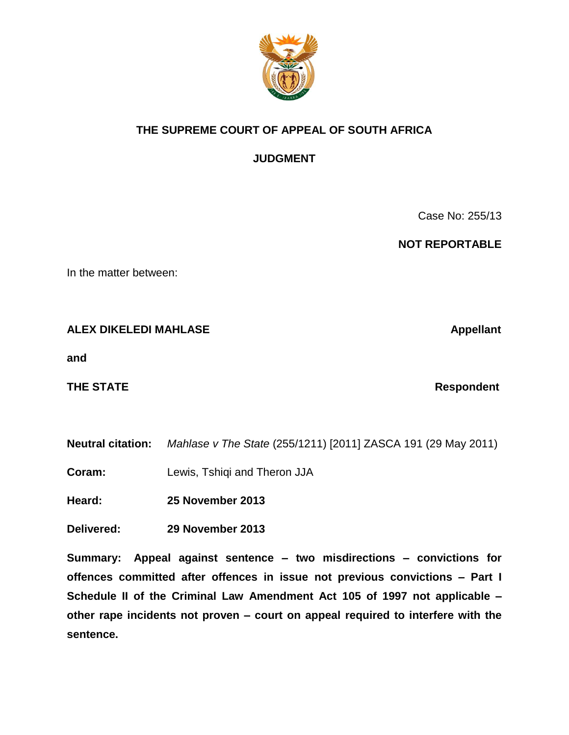

# **THE SUPREME COURT OF APPEAL OF SOUTH AFRICA**

**JUDGMENT** 

Case No: 255/13

 **NOT REPORTABLE** 

In the matter between:

## **ALEX DIKELEDI MAHLASE Alexander Appellant Appellant**

**and**

**THE STATE Respondent** 

**Neutral citation:** *Mahlase v The State* (255/1211) [2011] ZASCA 191 (29 May 2011)

**Coram:** Lewis, Tshiqi and Theron JJA

**Heard: 25 November 2013**

**Delivered: 29 November 2013**

**Summary: Appeal against sentence – two misdirections – convictions for offences committed after offences in issue not previous convictions – Part I Schedule II of the Criminal Law Amendment Act 105 of 1997 not applicable – other rape incidents not proven – court on appeal required to interfere with the sentence.**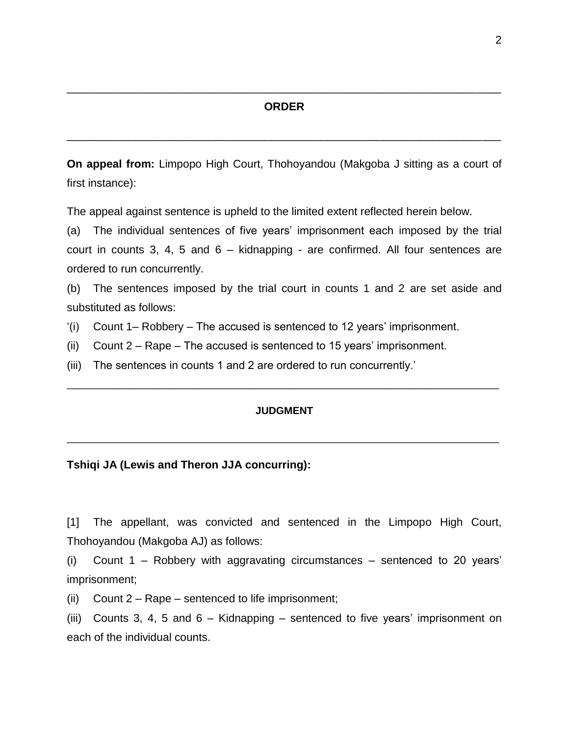### **ORDER**

\_\_\_\_\_\_\_\_\_\_\_\_\_\_\_\_\_\_\_\_\_\_\_\_\_\_\_\_\_\_\_\_\_\_\_\_\_\_\_\_\_\_\_\_\_\_\_\_\_\_\_\_\_\_\_\_\_\_\_\_\_\_\_\_\_\_\_\_\_\_

\_\_\_\_\_\_\_\_\_\_\_\_\_\_\_\_\_\_\_\_\_\_\_\_\_\_\_\_\_\_\_\_\_\_\_\_\_\_\_\_\_\_\_\_\_\_\_\_\_\_\_\_\_\_\_\_\_\_\_\_\_\_\_\_\_\_\_\_\_\_

**On appeal from:** Limpopo High Court, Thohoyandou (Makgoba J sitting as a court of first instance):

The appeal against sentence is upheld to the limited extent reflected herein below.

(a) The individual sentences of five years' imprisonment each imposed by the trial court in counts 3, 4, 5 and 6 – kidnapping - are confirmed. All four sentences are ordered to run concurrently.

(b) The sentences imposed by the trial court in counts 1 and 2 are set aside and substituted as follows:

- '(i) Count 1– Robbery The accused is sentenced to 12 years' imprisonment.
- (ii) Count 2 Rape The accused is sentenced to 15 years' imprisonment.
- (iii) The sentences in counts 1 and 2 are ordered to run concurrently.'

#### **JUDGMENT**

\_\_\_\_\_\_\_\_\_\_\_\_\_\_\_\_\_\_\_\_\_\_\_\_\_\_\_\_\_\_\_\_\_\_\_\_\_\_\_\_\_\_\_\_\_\_\_\_\_\_\_\_\_\_\_\_\_\_\_\_\_\_\_\_\_\_\_\_\_\_\_\_\_\_\_\_

\_\_\_\_\_\_\_\_\_\_\_\_\_\_\_\_\_\_\_\_\_\_\_\_\_\_\_\_\_\_\_\_\_\_\_\_\_\_\_\_\_\_\_\_\_\_\_\_\_\_\_\_\_\_\_\_\_\_\_\_\_\_\_\_\_\_\_\_\_\_\_\_\_\_\_\_

#### **Tshiqi JA (Lewis and Theron JJA concurring):**

[1] The appellant, was convicted and sentenced in the Limpopo High Court, Thohoyandou (Makgoba AJ) as follows:

(i) Count 1 – Robbery with aggravating circumstances – sentenced to 20 years' imprisonment;

(ii) Count  $2 - \text{Rape} - \text{sentence}$  to life imprisonment;

(iii) Counts 3, 4, 5 and 6 – Kidnapping – sentenced to five years' imprisonment on each of the individual counts.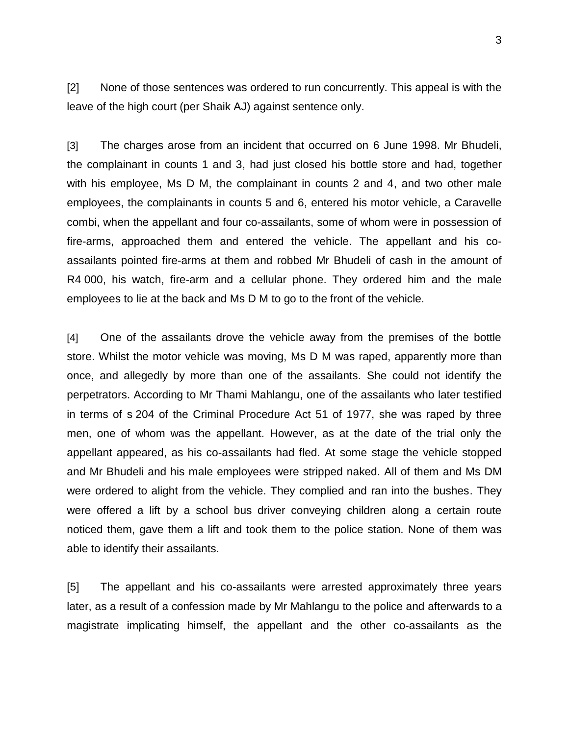[2] None of those sentences was ordered to run concurrently. This appeal is with the leave of the high court (per Shaik AJ) against sentence only.

[3] The charges arose from an incident that occurred on 6 June 1998. Mr Bhudeli, the complainant in counts 1 and 3, had just closed his bottle store and had, together with his employee, Ms D M, the complainant in counts 2 and 4, and two other male employees, the complainants in counts 5 and 6, entered his motor vehicle, a Caravelle combi, when the appellant and four co-assailants, some of whom were in possession of fire-arms, approached them and entered the vehicle. The appellant and his coassailants pointed fire-arms at them and robbed Mr Bhudeli of cash in the amount of R4 000, his watch, fire-arm and a cellular phone. They ordered him and the male employees to lie at the back and Ms D M to go to the front of the vehicle.

[4] One of the assailants drove the vehicle away from the premises of the bottle store. Whilst the motor vehicle was moving, Ms D M was raped, apparently more than once, and allegedly by more than one of the assailants. She could not identify the perpetrators. According to Mr Thami Mahlangu, one of the assailants who later testified in terms of s 204 of the Criminal Procedure Act 51 of 1977, she was raped by three men, one of whom was the appellant. However, as at the date of the trial only the appellant appeared, as his co-assailants had fled. At some stage the vehicle stopped and Mr Bhudeli and his male employees were stripped naked. All of them and Ms DM were ordered to alight from the vehicle. They complied and ran into the bushes. They were offered a lift by a school bus driver conveying children along a certain route noticed them, gave them a lift and took them to the police station. None of them was able to identify their assailants.

[5] The appellant and his co-assailants were arrested approximately three years later, as a result of a confession made by Mr Mahlangu to the police and afterwards to a magistrate implicating himself, the appellant and the other co-assailants as the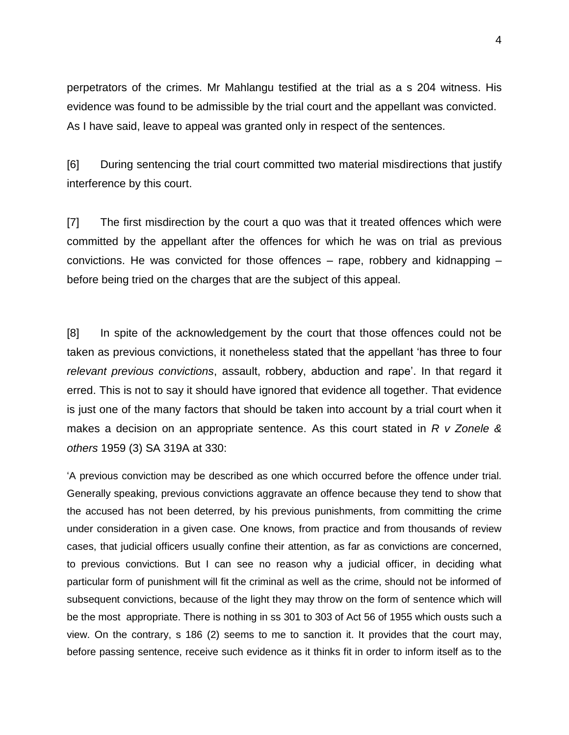perpetrators of the crimes. Mr Mahlangu testified at the trial as a s 204 witness. His evidence was found to be admissible by the trial court and the appellant was convicted. As I have said, leave to appeal was granted only in respect of the sentences.

[6] During sentencing the trial court committed two material misdirections that justify interference by this court.

[7] The first misdirection by the court a quo was that it treated offences which were committed by the appellant after the offences for which he was on trial as previous convictions. He was convicted for those offences – rape, robbery and kidnapping – before being tried on the charges that are the subject of this appeal.

[8] In spite of the acknowledgement by the court that those offences could not be taken as previous convictions, it nonetheless stated that the appellant 'has three to four *relevant previous convictions*, assault, robbery, abduction and rape'. In that regard it erred. This is not to say it should have ignored that evidence all together. That evidence is just one of the many factors that should be taken into account by a trial court when it makes a decision on an appropriate sentence. As this court stated in *R v Zonele & others* 1959 (3) SA 319A at 330:

'A previous conviction may be described as one which occurred before the offence under trial. Generally speaking, previous convictions aggravate an offence because they tend to show that the accused has not been deterred, by his previous punishments, from committing the crime under consideration in a given case. One knows, from practice and from thousands of review cases, that judicial officers usually confine their attention, as far as convictions are concerned, to previous convictions. But I can see no reason why a judicial officer, in deciding what particular form of punishment will fit the criminal as well as the crime, should not be informed of subsequent convictions, because of the light they may throw on the form of sentence which will be the most appropriate. There is nothing in ss 301 to 303 of Act 56 of 1955 which ousts such a view. On the contrary, s 186 (2) seems to me to sanction it. It provides that the court may, before passing sentence, receive such evidence as it thinks fit in order to inform itself as to the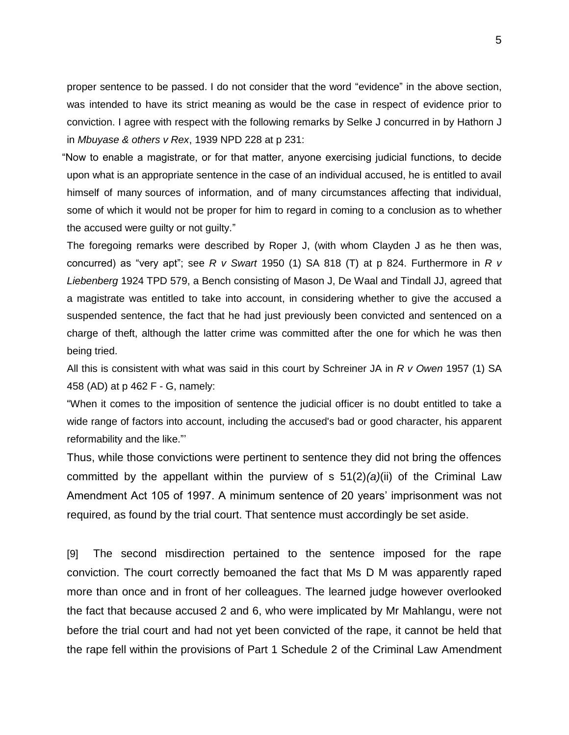proper sentence to be passed. I do not consider that the word "evidence" in the above section, was intended to have its strict meaning as would be the case in respect of evidence prior to conviction. I agree with respect with the following remarks by Selke J concurred in by Hathorn J in *Mbuyase & others v Rex*, 1939 NPD 228 at p 231:

 "Now to enable a magistrate, or for that matter, anyone exercising judicial functions, to decide upon what is an appropriate sentence in the case of an individual accused, he is entitled to avail himself of many sources of information, and of many circumstances affecting that individual, some of which it would not be proper for him to regard in coming to a conclusion as to whether the accused were guilty or not guilty."

The foregoing remarks were described by Roper J, (with whom Clayden J as he then was, concurred) as "very apt"; see *R v Swart* [1950 \(1\) SA 818 \(T\)](http://juta/nxt/foliolinks.asp?f=xhitlist&xhitlist_x=Advanced&xhitlist_vpc=first&xhitlist_xsl=querylink.xsl&xhitlist_sel=title;path;content-type;home-title&xhitlist_d=%7bsalr%7d&xhitlist_q=%5bfield%20folio-destination-name:) at p 824. Furthermore in *R v Liebenberg* 1924 TPD 579, a Bench consisting of Mason J, De Waal and Tindall JJ, agreed that a magistrate was entitled to take into account, in considering whether to give the accused a suspended sentence, the fact that he had just previously been convicted and sentenced on a charge of theft, although the latter crime was committed after the one for which he was then being tried.

All this is consistent with what was said in this court by Schreiner JA in *R v Owen* [1957 \(1\) SA](http://juta/nxt/foliolinks.asp?f=xhitlist&xhitlist_x=Advanced&xhitlist_vpc=first&xhitlist_xsl=querylink.xsl&xhitlist_sel=title;path;content-type;home-title&xhitlist_d=%7bsalr%7d&xhitlist_q=%5bfield%20folio-destination-name:)  [458 \(AD\)](http://juta/nxt/foliolinks.asp?f=xhitlist&xhitlist_x=Advanced&xhitlist_vpc=first&xhitlist_xsl=querylink.xsl&xhitlist_sel=title;path;content-type;home-title&xhitlist_d=%7bsalr%7d&xhitlist_q=%5bfield%20folio-destination-name:) at p 462 F - G, namely:

"When it comes to the imposition of sentence the judicial officer is no doubt entitled to take a wide range of factors into account, including the accused's bad or good character, his apparent reformability and the like."'

Thus, while those convictions were pertinent to sentence they did not bring the offences committed by the appellant within the purview of s 51(2)*(a)*(ii) of the Criminal Law Amendment Act 105 of 1997. A minimum sentence of 20 years' imprisonment was not required, as found by the trial court. That sentence must accordingly be set aside.

[9] The second misdirection pertained to the sentence imposed for the rape conviction. The court correctly bemoaned the fact that Ms D M was apparently raped more than once and in front of her colleagues. The learned judge however overlooked the fact that because accused 2 and 6, who were implicated by Mr Mahlangu, were not before the trial court and had not yet been convicted of the rape, it cannot be held that the rape fell within the provisions of Part 1 Schedule 2 of the Criminal Law Amendment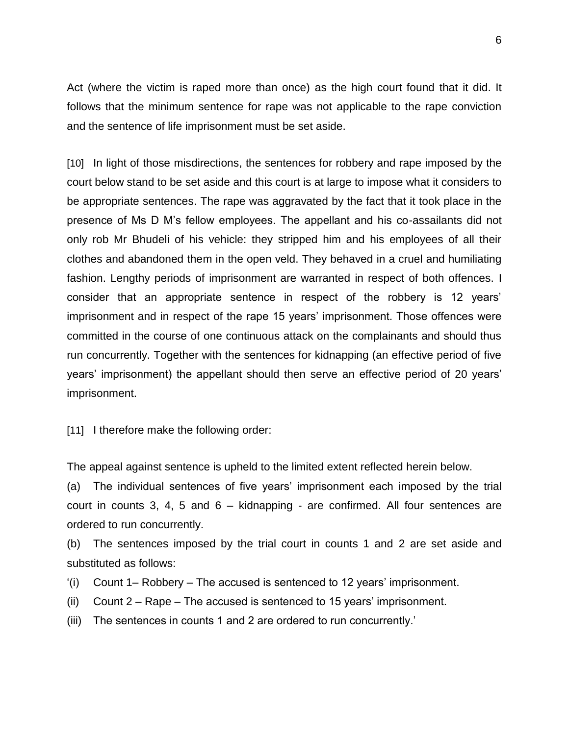Act (where the victim is raped more than once) as the high court found that it did. It follows that the minimum sentence for rape was not applicable to the rape conviction and the sentence of life imprisonment must be set aside.

[10] In light of those misdirections, the sentences for robbery and rape imposed by the court below stand to be set aside and this court is at large to impose what it considers to be appropriate sentences. The rape was aggravated by the fact that it took place in the presence of Ms D M's fellow employees. The appellant and his co-assailants did not only rob Mr Bhudeli of his vehicle: they stripped him and his employees of all their clothes and abandoned them in the open veld. They behaved in a cruel and humiliating fashion. Lengthy periods of imprisonment are warranted in respect of both offences. I consider that an appropriate sentence in respect of the robbery is 12 years' imprisonment and in respect of the rape 15 years' imprisonment. Those offences were committed in the course of one continuous attack on the complainants and should thus run concurrently. Together with the sentences for kidnapping (an effective period of five years' imprisonment) the appellant should then serve an effective period of 20 years' imprisonment.

[11] I therefore make the following order:

The appeal against sentence is upheld to the limited extent reflected herein below.

(a) The individual sentences of five years' imprisonment each imposed by the trial court in counts 3, 4, 5 and 6 – kidnapping - are confirmed. All four sentences are ordered to run concurrently.

(b) The sentences imposed by the trial court in counts 1 and 2 are set aside and substituted as follows:

- '(i) Count 1– Robbery The accused is sentenced to 12 years' imprisonment.
- (ii) Count 2 Rape The accused is sentenced to 15 years' imprisonment.
- (iii) The sentences in counts 1 and 2 are ordered to run concurrently.'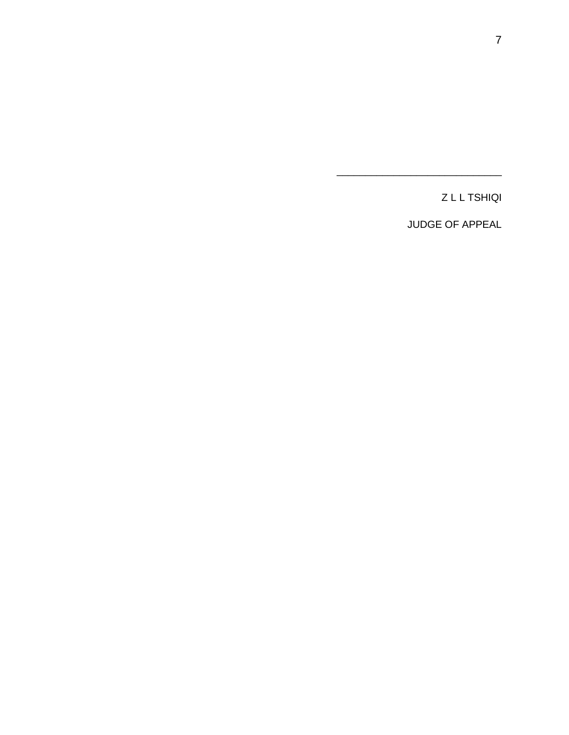Z L L TSHIQI

JUDGE OF APPEAL

\_\_\_\_\_\_\_\_\_\_\_\_\_\_\_\_\_\_\_\_\_\_\_\_\_\_\_\_\_